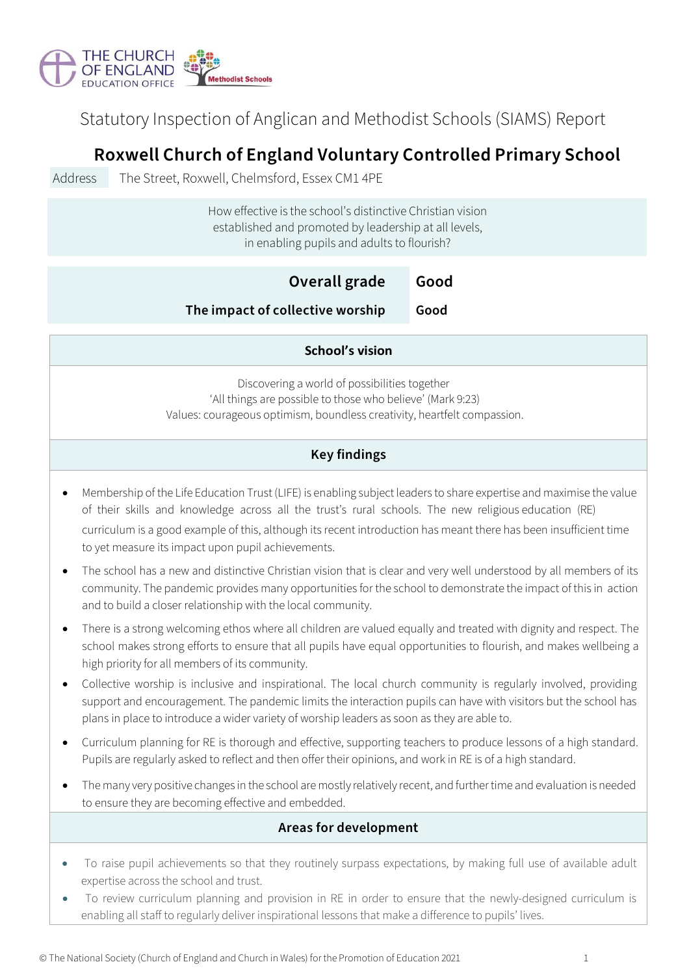

Statutory Inspection of Anglican and Methodist Schools (SIAMS) Report

# **Roxwell Church of England Voluntary Controlled Primary School**

Address The Street, Roxwell, Chelmsford, Essex CM1 4PE

How effective is the school's distinctive Christian vision established and promoted by leadership at all levels, in enabling pupils and adults to flourish?

| Overall grade                    | Good |
|----------------------------------|------|
| The impact of collective worship | Good |

### **School's vision**

Discovering a world of possibilities together ʻAll things are possible to those who believe' (Mark 9:23) Values: courageous optimism, boundless creativity, heartfelt compassion.

## **Key findings**

- Membership of the Life Education Trust (LIFE) is enabling subject leaders to share expertise and maximise the value of their skills and knowledge across all the trust's rural schools. The new religious education (RE) curriculum is a good example of this, although its recent introduction has meant there has been insufficient time to yet measure its impact upon pupil achievements.
- The school has a new and distinctive Christian vision that is clear and very well understood by all members of its community. The pandemic provides many opportunities for the school to demonstrate the impact of this in action and to build a closer relationship with the local community.
- There is a strong welcoming ethos where all children are valued equally and treated with dignity and respect. The school makes strong efforts to ensure that all pupils have equal opportunities to flourish, and makes wellbeing a high priority for all members of its community.
- Collective worship is inclusive and inspirational. The local church community is regularly involved, providing support and encouragement. The pandemic limits the interaction pupils can have with visitors but the school has plans in place to introduce a wider variety of worship leaders as soon as they are able to.
- Curriculum planning for RE is thorough and effective, supporting teachers to produce lessons of a high standard. Pupils are regularly asked to reflect and then offer their opinions, and work in RE is of a high standard.
- The many very positive changes in the school are mostly relatively recent, and further time and evaluation is needed to ensure they are becoming effective and embedded.

### **Areas for development**

- To raise pupil achievements so that they routinely surpass expectations, by making full use of available adult expertise across the school and trust.
- To review curriculum planning and provision in RE in order to ensure that the newly-designed curriculum is enabling all staff to regularly deliver inspirational lessons that make a difference to pupils' lives.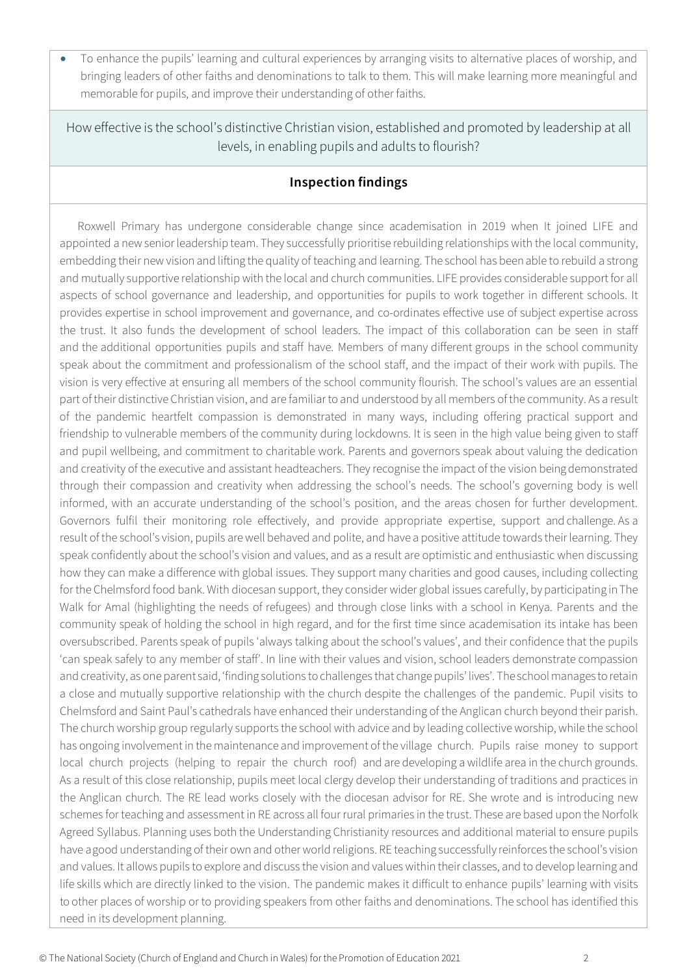• To enhance the pupils' learning and cultural experiences by arranging visits to alternative places of worship, and bringing leaders of other faiths and denominations to talk to them. This will make learning more meaningful and memorable for pupils, and improve their understanding of other faiths.

How effective is the school's distinctive Christian vision, established and promoted by leadership at all levels, in enabling pupils and adults to flourish?

## **Inspection findings**

the trust. It also funds the development of school leaders. The impact of this collaboration can be seen in staff 'can speak safely to any member of staff'. In line with their values and vision, school leaders demonstrate compassion local church projects (helping to repair the church roof) and are developing a wildlife area in the church grounds. Roxwell Primary has undergone considerable change since academisation in 2019 when It joined LIFE and appointed a newsenior leadership team. They successfully prioritise rebuilding relationships with the local community, embedding their new vision and lifting the quality of teaching and learning. The school has been able to rebuild a strong and mutually supportive relationship with the local and church communities. LIFE provides considerable support for all aspects of school governance and leadership, and opportunities for pupils to work together in different schools. It provides expertise in school improvement and governance, and co-ordinates effective use of subject expertise across and the additional opportunities pupils and staff have. Members of many different groups in the school community speak about the commitment and professionalism of the school staff, and the impact of their work with pupils. The vision is very effective at ensuring all members of the school community flourish. The school's values are an essential part of their distinctive Christian vision, and are familiar to and understood by all members of the community. As a result of the pandemic heartfelt compassion is demonstrated in many ways, including offering practical support and friendship to vulnerable members of the community during lockdowns. It is seen in the high value being given to staff and pupil wellbeing, and commitment to charitable work. Parents and governors speak about valuing the dedication and creativity of the executive and assistant headteachers. They recognise the impact of the vision beingdemonstrated through their compassion and creativity when addressing the school's needs. The school's governing body is well informed, with an accurate understanding of the school's position, and the areas chosen for further development. Governors fulfil their monitoring role effectively, and provide appropriate expertise, support and challenge. As a result of the school's vision, pupils are well behaved and polite, and have a positive attitude towards their learning. They speak confidently about the school's vision and values, and as a result are optimistic and enthusiastic when discussing how they can make a difference with global issues. They support many charities and good causes, including collecting for the Chelmsford food bank. With diocesan support, they consider wider global issues carefully, by participating in The Walk for Amal (highlighting the needs of refugees) and through close links with a school in Kenya. Parents and the community speak of holding the school in high regard, and for the first time since academisation its intake has been oversubscribed. Parents speak of pupils 'always talking about the school's values', and their confidence that the pupils and creativity, as one parent said, 'finding solutions to challenges that change pupils' lives'. Theschoolmanages toretain a close and mutually supportive relationship with the church despite the challenges of the pandemic. Pupil visits to Chelmsford and Saint Paul's cathedrals have enhanced their understanding of the Anglican church beyond their parish. The church worship group regularly supports the school with advice and by leading collective worship, while the school has ongoing involvement in the maintenance and improvement of the village church. Pupils raise money to support As a result of this close relationship, pupils meet local clergy develop their understanding of traditions and practices in the Anglican church. The RE lead works closely with the diocesan advisor for RE. She wrote and is introducing new schemes for teaching and assessment in RE across all four rural primaries in the trust. These are based upon the Norfolk Agreed Syllabus. Planning uses both the Understanding Christianity resources and additional material to ensure pupils have a good understanding of their own and other world religions. RE teaching successfully reinforces the school's vision and values. It allows pupils to explore and discuss the vision and values within their classes, and to develop learning and life skills which are directly linked to the vision. The pandemic makes it difficult to enhance pupils' learning with visits to other places of worship or to providing speakers from other faiths and denominations. The school has identified this need in its development planning.